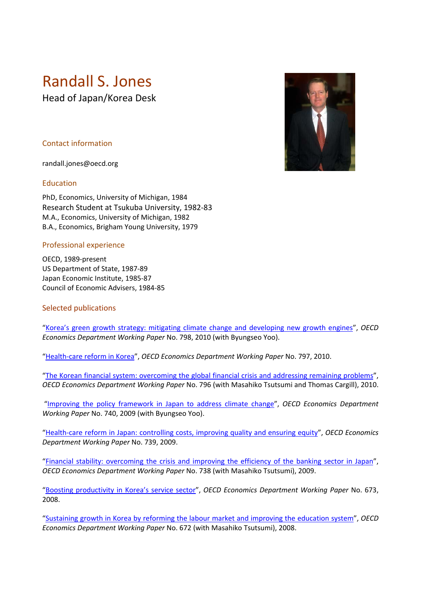# Randall S. Jones

Head of Japan/Korea Desk

## Contact information

randall.jones@oecd.org

### Education

PhD, Economics, University of Michigan, 1984 Research Student at Tsukuba University, 1982‐83 M.A., Economics, University of Michigan, 1982 B.A., Economics, Brigham Young University, 1979

### Professional experience

OECD, 1989‐present US Department of State, 1987‐89 Japan Economic Institute, 1985‐87 Council of Economic Advisers, 1984‐85

### Selected publications

"Korea's green growth strategy: mitigating climate change and developing new growth engines", *OECD Economics Department Working Paper* No. 798, 2010 (with Byungseo Yoo).

"Health‐care reform in Korea", *OECD Economics Department Working Paper* No. 797, 2010.

"The Korean financial system: overcoming the global financial crisis and addressing remaining problems", *OECD Economics Department Working Paper* No. 796 (with Masahiko Tsutsumi and Thomas Cargill), 2010.

"Improving the policy framework in Japan to address climate change", *OECD Economics Department Working Paper* No. 740, 2009 (with Byungseo Yoo).

"Health‐care reform in Japan: controlling costs, improving quality and ensuring equity", *OECD Economics Department Working Paper* No. 739, 2009.

"Financial stability: overcoming the crisis and improving the efficiency of the banking sector in Japan", *OECD Economics Department Working Paper* No. 738 (with Masahiko Tsutsumi), 2009.

"Boosting productivity in Korea's service sector", *OECD Economics Department Working Paper* No. 673, 2008.

"Sustaining growth in Korea by reforming the labour market and improving the education system", *OECD Economics Department Working Paper* No. 672 (with Masahiko Tsutsumi), 2008.